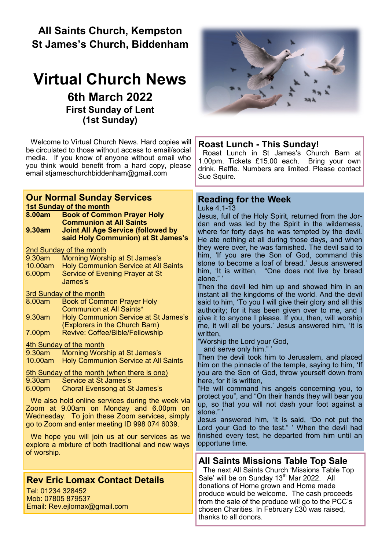## **All Saints Church, Kempston St James's Church, Biddenham**

# **Virtual Church News 6th March 2022 First Sunday of Lent (1st Sunday)**

Welcome to Virtual Church News. Hard copies will be circulated to those without access to email/social media. If you know of anyone without email who you think would benefit from a hard copy, please email [stjameschurchbiddenham@gmail.com](mailto:Jacqui.piper@btinternet.com) 



## **Rev Eric Lomax Contact Details**

Tel: 01234 328452 Mob: 07805 879537 Email: Rev.ejlomax@gmail.com



#### **Roast Lunch - This Sunday!**

Roast Lunch in St James's Church Barn at 1.00pm. Tickets £15.00 each. Bring your own drink. Raffle. Numbers are limited. Please contact Sue Squire.

#### **Reading for the Week**

Luke 4.1-13

Jesus, full of the Holy Spirit, returned from the Jordan and was led by the Spirit in the wilderness, where for forty days he was tempted by the devil. He ate nothing at all during those days, and when they were over, he was famished. The devil said to him, 'If you are the Son of God, command this stone to become a loaf of bread.' Jesus answered him, 'It is written, "One does not live by bread alone." '

Then the devil led him up and showed him in an instant all the kingdoms of the world. And the devil said to him, 'To you I will give their glory and all this authority; for it has been given over to me, and I give it to anyone I please. If you, then, will worship me, it will all be yours.' Jesus answered him, 'It is written,

"Worship the Lord your God,

and serve only him." '

Then the devil took him to Jerusalem, and placed him on the pinnacle of the temple, saying to him, 'If you are the Son of God, throw yourself down from here, for it is written,

"He will command his angels concerning you, to protect you", and "On their hands they will bear you up, so that you will not dash your foot against a stone."

Jesus answered him, 'It is said, "Do not put the Lord your God to the test." ' When the devil had finished every test, he departed from him until an opportune time.

## **All Saints Missions Table Top Sale**

The next All Saints Church 'Missions Table Top Sale' will be on Sunday 13<sup>th</sup> Mar 2022. All donations of Home grown and Home made produce would be welcome. The cash proceeds from the sale of the produce will go to the PCC's chosen Charities. In February £30 was raised, thanks to all donors.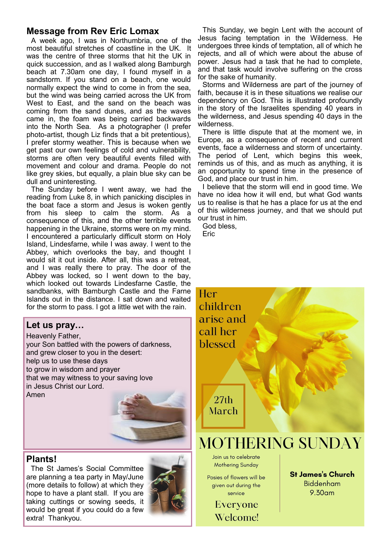## **Message from Rev Eric Lomax**

A week ago, I was in Northumbria, one of the most beautiful stretches of coastline in the UK. It was the centre of three storms that hit the UK in quick succession, and as I walked along Bamburgh beach at 7.30am one day, I found myself in a sandstorm. If you stand on a beach, one would normally expect the wind to come in from the sea, but the wind was being carried across the UK from West to East, and the sand on the beach was coming from the sand dunes, and as the waves came in, the foam was being carried backwards into the North Sea. As a photographer (I prefer photo-artist, though Liz finds that a bit pretentious), I prefer stormy weather. This is because when we get past our own feelings of cold and vulnerability, storms are often very beautiful events filled with movement and colour and drama. People do not like grey skies, but equally, a plain blue sky can be dull and uninteresting.

The Sunday before I went away, we had the reading from Luke 8, in which panicking disciples in the boat face a storm and Jesus is woken gently from his sleep to calm the storm. As a consequence of this, and the other terrible events happening in the Ukraine, storms were on my mind. I encountered a particularly difficult storm on Holy Island, Lindesfarne, while I was away. I went to the Abbey, which overlooks the bay, and thought I would sit it out inside. After all, this was a retreat, and I was really there to pray. The door of the Abbey was locked, so I went down to the bay, which looked out towards Lindesfarne Castle, the sandbanks, with Bamburgh Castle and the Farne Islands out in the distance. I sat down and waited for the storm to pass. I got a little wet with the rain.

## **Let us pray…**

Heavenly Father, your Son battled with the powers of darkness, and grew closer to you in the desert: help us to use these days to grow in wisdom and prayer that we may witness to your saving love in Jesus Christ our Lord. Amen

#### **Plants!**

The St James's Social Committee are planning a tea party in May/June (more details to follow) at which they hope to have a plant stall. If you are taking cuttings or sowing seeds, it would be great if you could do a few extra! Thankyou.



This Sunday, we begin Lent with the account of Jesus facing temptation in the Wilderness. He undergoes three kinds of temptation, all of which he rejects, and all of which were about the abuse of power. Jesus had a task that he had to complete, and that task would involve suffering on the cross for the sake of humanity.

Storms and Wilderness are part of the journey of faith, because it is in these situations we realise our dependency on God. This is illustrated profoundly in the story of the Israelites spending 40 years in the wilderness, and Jesus spending 40 days in the wilderness.

There is little dispute that at the moment we, in Europe, as a consequence of recent and current events, face a wilderness and storm of uncertainty. The period of Lent, which begins this week, reminds us of this, and as much as anything, it is an opportunity to spend time in the presence of God, and place our trust in him.

I believe that the storm will end in good time. We have no idea how it will end, but what God wants us to realise is that he has a place for us at the end of this wilderness journey, and that we should put our trust in him.

God bless,

**Eric** 

Her

children arise and call her blessed

> $27th$ March

# **MOTHERING SUNDAY**

Join us to celebrate **Mothering Sunday** 

Posies of flowers will be given out during the service

> Everyone Welcome!

**St James's Church Biddenham**  $9.30<sub>cm</sub>$